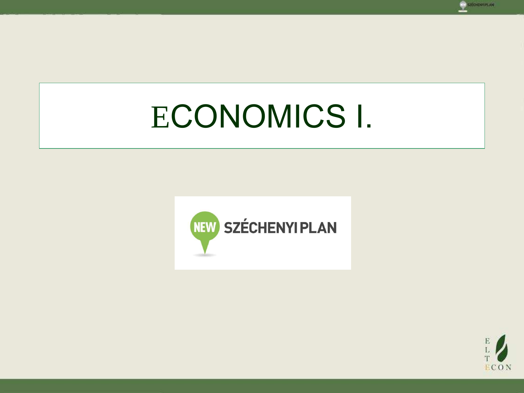





**EECHENTPLAN**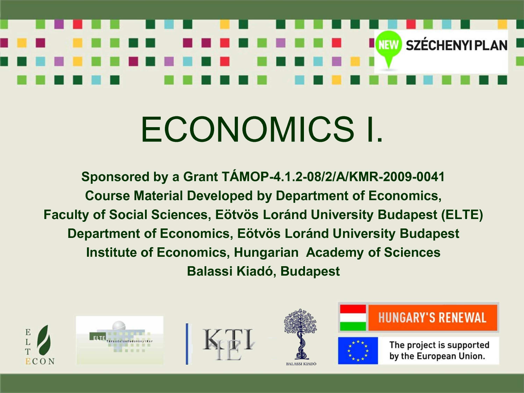# **NEW SZÉCHENYI PLAN**

# ECONOMICS I.

Sponsored by a Grant TÁMOP-4.1.2-08/2/A/KMR-2009-0041 **Course Material Developed by Department of Economics, Faculty of Social Sciences, Eötvös Loránd University Budapest (ELTE)** Department of Economics, Eötvös Loránd University Budapest **Institute of Economics, Hungarian Academy of Sciences Balassi Kiadó, Budapest** 









BALASSI KIADÓ





The project is supported by the European Union.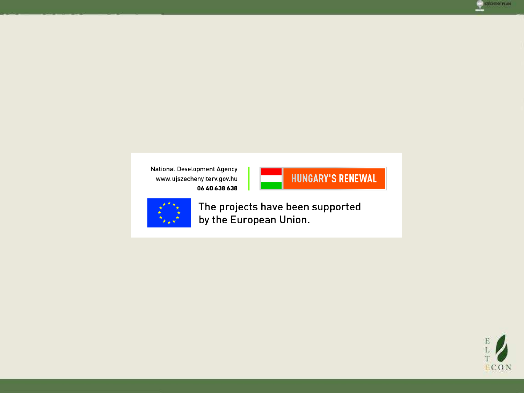

National Development Agency www.ujszechenyiterv.gov.hu 06 40 638 638





The projects have been supported by the European Union.

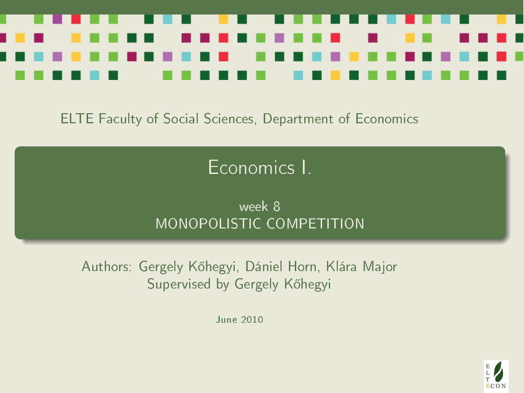

#### ELTE Faculty of Social Sciences, Department of Economics

# Economics I.

#### week 8 MONOPOLISTIC COMPETITION

<span id="page-3-0"></span>Authors: Gergely Kőhegyi, Dániel Horn, Klára Major Supervised by Gergely Kőhegyi

June 2010

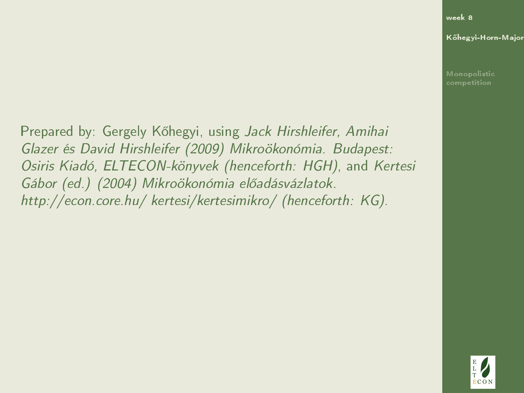[week 8](#page-3-0)

K®hegyi-Horn-Major

Prepared by: Gergely K®hegyi, using Jack Hirshleifer, Amihai Glazer és David Hirshleifer (2009) Mikroökonómia. Budapest: Osiris Kiadó, ELTECON-könyvek (henceforth: HGH), and Kertesi Gábor (ed.) (2004) Mikroökonómia előadásvázlatok. http://econ.core.hu/ kertesi/kertesimikro/ (henceforth: KG).

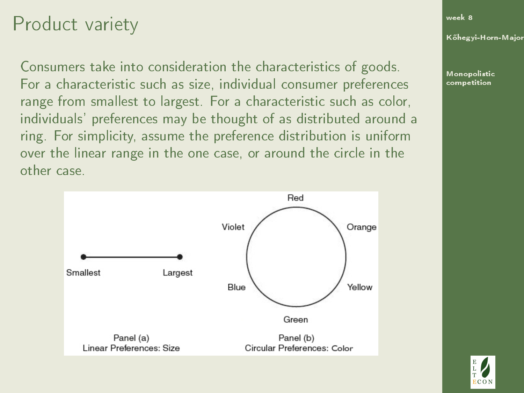### Product variety

Consumers take into consideration the characteristics of goods. For a characteristic such as size, individual consumer preferences range from smallest to largest. For a characteristic such as color, individuals' preferences may be thought of as distributed around a ring. For simplicity, assume the preference distribution is uniform over the linear range in the one case, or around the circle in the other case.

<span id="page-5-0"></span>

[week 8](#page-3-0)

K®hegyi-Horn-Major

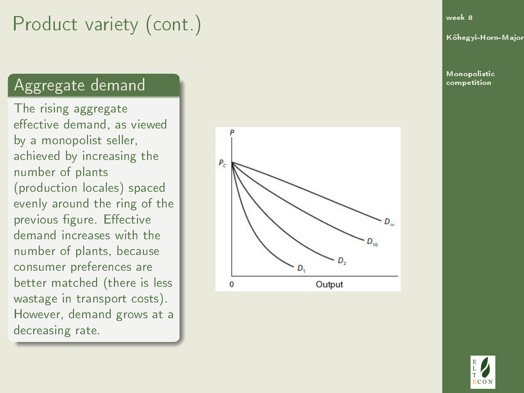# Product variety (cont.)

#### Aggregate demand

The rising aggregate effective demand, as viewed by a monopolist seller, achieved by increasing the number of plants (production locales) spaced evenly around the ring of the previous figure. Effective demand increases with the number of plants, because consumer preferences are better matched (there is less wastage in transport costs). However, demand grows at a decreasing rate.



[week 8](#page-3-0)

K®hegyi-Horn-Major

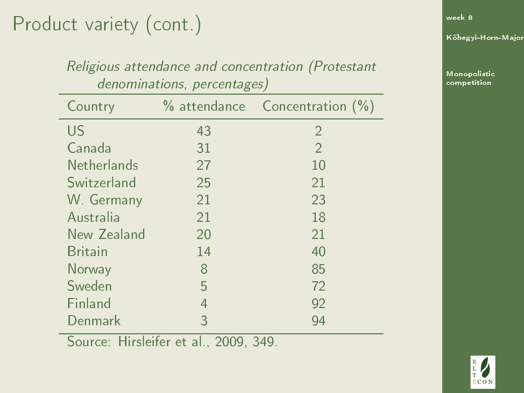# Product variety (cont.)

| Religious attendance and concentration (Protestant |    |                                |  |  |
|----------------------------------------------------|----|--------------------------------|--|--|
| denominations, percentages)                        |    |                                |  |  |
| Country                                            |    | % attendance Concentration (%) |  |  |
| US                                                 | 43 | $\overline{2}$                 |  |  |
| Canada                                             | 31 | $\overline{2}$                 |  |  |
| Netherlands                                        | 27 | 10                             |  |  |
| Switzerland                                        | 25 | 21                             |  |  |
| W. Germany                                         | 21 | 23                             |  |  |
| Australia                                          | 21 | 18                             |  |  |
| New Zealand                                        | 20 | 21                             |  |  |
| <b>Britain</b>                                     | 14 | 40                             |  |  |
| Norway                                             | 8  | 85                             |  |  |
| Sweden                                             | 5  | 72                             |  |  |
| Finland                                            | 4  | 92                             |  |  |
| Denmark                                            | 3  | 94                             |  |  |

Religious attendance and concentration (Protestant

Source: Hirsleifer et al., 2009, 349.

[week 8](#page-3-0)

K®hegyi-Horn-Major

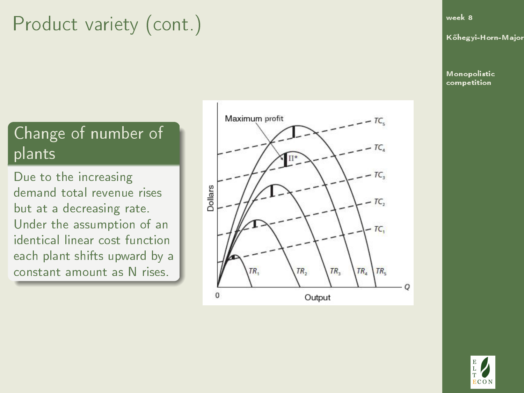# Product variety (cont.)

#### Change of number of plants

Due to the increasing demand total revenue rises but at a decreasing rate. Under the assumption of an identical linear cost function each plant shifts upward by a constant amount as N rises.



[week 8](#page-3-0)

K®hegyi-Horn-Major

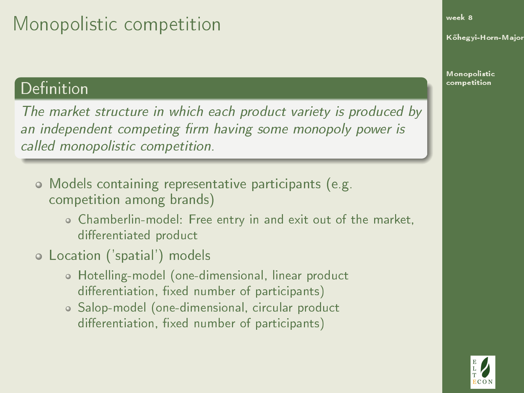# Monopolistic competition

#### Definition

The market structure in which each product variety is produced by an independent competing firm having some monopoly power is called monopolistic competition.

- Models containing representative participants (e.g. competition among brands)
	- Chamberlin-model: Free entry in and exit out of the market, differentiated product
- Location ('spatial') models
	- Hotelling-model (one-dimensional, linear product differentiation, fixed number of participants)
	- Salop-model (one-dimensional, circular product differentiation, fixed number of participants)

[week 8](#page-3-0)

K®hegyi-Horn-Major

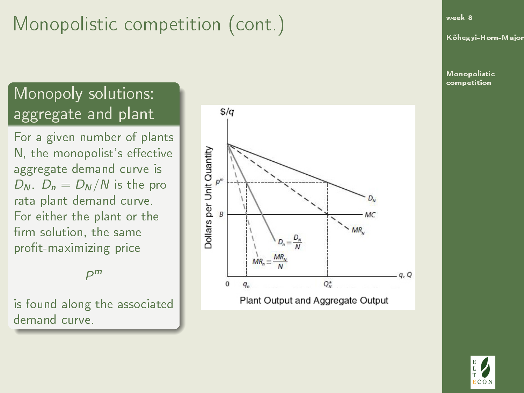#### Monopoly solutions: aggregate and plant

For a given number of plants N, the monopolist's effective aggregate demand curve is  $D_N$ .  $D_n = D_N/N$  is the pro rata plant demand curve. For either the plant or the firm solution, the same profit-maximizing price

P m

is found along the associated demand curve.



[week 8](#page-3-0)

K®hegyi-Horn-Major

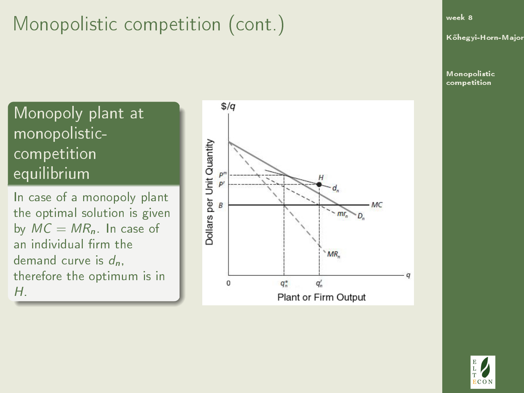[week 8](#page-3-0)

K®hegyi-Horn-Major

[Monopolistic](#page-5-0) competition

Monopoly plant at monopolisticcompetition equilibrium

In case of a monopoly plant the optimal solution is given by  $MC = MR_n$ . In case of an individual firm the demand curve is  $d_n$ . therefore the optimum is in H.



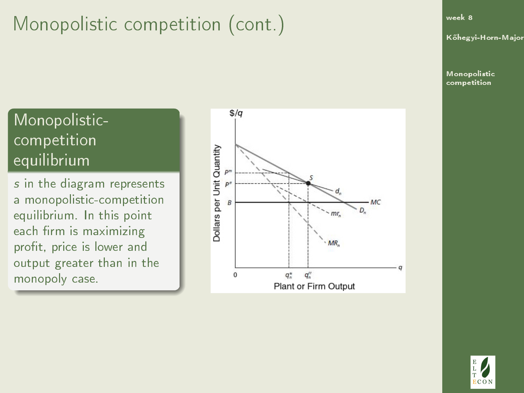#### [week 8](#page-3-0)

K®hegyi-Horn-Major

[Monopolistic](#page-5-0) competition

#### Monopolisticcompetition equilibrium

s in the diagram represents a monopolistic-competition equilibrium. In this point each firm is maximizing profit, price is lower and output greater than in the monopoly case.



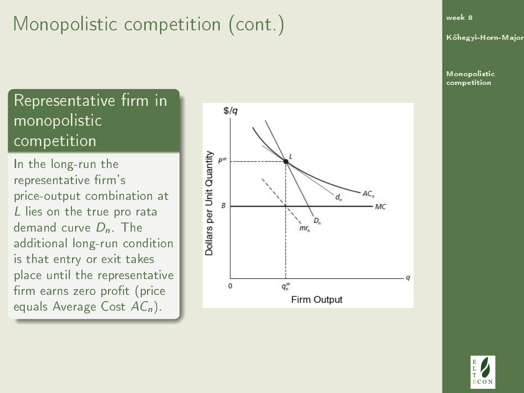Representative firm in monopolistic competition

In the long-run the representative firm's price-output combination at L lies on the true pro rata demand curve  $D_n$ . The additional long-run condition is that entry or exit takes place until the representative firm earns zero profit (price equals Average Cost  $AC_n$ ).



[week 8](#page-3-0)

K®hegyi-Horn-Major

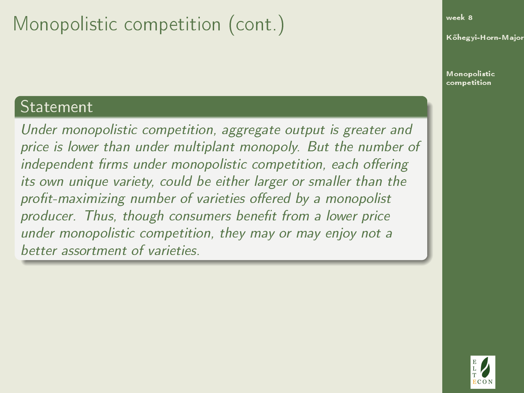#### Statement

Under monopolistic competition, aggregate output is greater and price is lower than under multiplant monopoly. But the number of independent firms under monopolistic competition, each offering its own unique variety, could be either larger or smaller than the profit-maximizing number of varieties offered by a monopolist producer. Thus, though consumers benefit from a lower price under monopolistic competition, they may or may enjoy not a better assortment of varieties.

[week 8](#page-3-0)

K®hegyi-Horn-Major